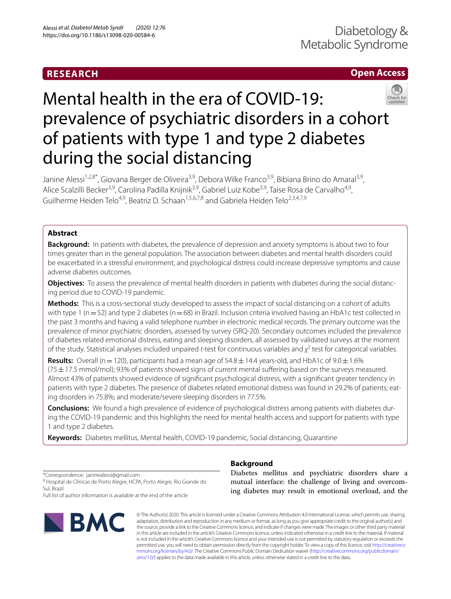# **RESEARCH**

## **Open Access**



# Mental health in the era of COVID-19: prevalence of psychiatric disorders in a cohort of patients with type 1 and type 2 diabetes during the social distancing

Janine Alessi<sup>1,2,8\*</sup>, Giovana Berger de Oliveira<sup>3,9</sup>, Debora Wilke Franco<sup>3,9</sup>, Bibiana Brino do Amaral<sup>3,9</sup>, Alice Scalzilli Becker<sup>3,9</sup>, Carolina Padilla Knijnik<sup>3,9</sup>, Gabriel Luiz Kobe<sup>3,9</sup>, Taíse Rosa de Carvalho<sup>4,9</sup>, Guilherme Heiden Telo<sup>4,9</sup>, Beatriz D. Schaan<sup>1,5,6,7,8</sup> and Gabriela Heiden Telo<sup>2,3,4,7,9</sup>

## **Abstract**

**Background:** In patients with diabetes, the prevalence of depression and anxiety symptoms is about two to four times greater than in the general population. The association between diabetes and mental health disorders could be exacerbated in a stressful environment, and psychological distress could increase depressive symptoms and cause adverse diabetes outcomes.

**Objectives:** To assess the prevalence of mental health disorders in patients with diabetes during the social distancing period due to COVID-19 pandemic.

**Methods:** This is a cross-sectional study developed to assess the impact of social distancing on a cohort of adults with type 1 (n = 52) and type 2 diabetes (n = 68) in Brazil. Inclusion criteria involved having an HbA1c test collected in the past 3 months and having a valid telephone number in electronic medical records. The primary outcome was the prevalence of minor psychiatric disorders, assessed by survey (SRQ-20). Secondary outcomes included the prevalence of diabetes related emotional distress, eating and sleeping disorders, all assessed by validated surveys at the moment of the study. Statistical analyses included unpaired *t*-test for continuous variables and χ<sup>2</sup> test for categorical variables.

**Results:** Overall (n=120), participants had a mean age of  $54.8 \pm 14.4$  years-old, and HbA1c of  $9.0 \pm 1.6\%$ (75±17.5 mmol/mol); 93% of patients showed signs of current mental sufering based on the surveys measured. Almost 43% of patients showed evidence of signifcant psychological distress, with a signifcant greater tendency in patients with type 2 diabetes. The presence of diabetes related emotional distress was found in 29.2% of patients; eating disorders in 75.8%; and moderate/severe sleeping disorders in 77.5%.

**Conclusions:** We found a high prevalence of evidence of psychological distress among patients with diabetes during the COVID-19 pandemic and this highlights the need for mental health access and support for patients with type 1 and type 2 diabetes.

**Keywords:** Diabetes mellitus, Mental health, COVID-19 pandemic, Social distancing, Quarantine

\*Correspondence: janinealessi@gmail.com

<sup>8</sup> Hospital de Clínicas de Porto Alegre, HCPA, Porto Alegre, Rio Grande do Sul, Brazil

Full list of author information is available at the end of the article



## **Background**

Diabetes mellitus and psychiatric disorders share a mutual interface: the challenge of living and overcoming diabetes may result in emotional overload, and the

© The Author(s) 2020. This article is licensed under a Creative Commons Attribution 4.0 International License, which permits use, sharing, adaptation, distribution and reproduction in any medium or format, as long as you give appropriate credit to the original author(s) and the source, provide a link to the Creative Commons licence, and indicate if changes were made. The images or other third party material in this article are included in the article's Creative Commons licence, unless indicated otherwise in a credit line to the material. If material is not included in the article's Creative Commons licence and your intended use is not permitted by statutory regulation or exceeds the permitted use, you will need to obtain permission directly from the copyright holder. To view a copy of this licence, visit [http://creativeco](http://creativecommons.org/licenses/by/4.0/) [mmons.org/licenses/by/4.0/.](http://creativecommons.org/licenses/by/4.0/) The Creative Commons Public Domain Dedication waiver ([http://creativecommons.org/publicdomain/](http://creativecommons.org/publicdomain/zero/1.0/) [zero/1.0/\)](http://creativecommons.org/publicdomain/zero/1.0/) applies to the data made available in this article, unless otherwise stated in a credit line to the data.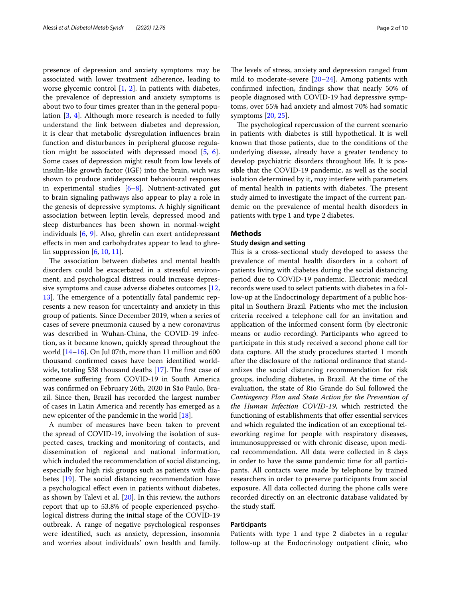presence of depression and anxiety symptoms may be associated with lower treatment adherence, leading to worse glycemic control [[1,](#page-7-0) [2](#page-7-1)]. In patients with diabetes, the prevalence of depression and anxiety symptoms is about two to four times greater than in the general population [[3,](#page-7-2) [4\]](#page-7-3). Although more research is needed to fully understand the link between diabetes and depression, it is clear that metabolic dysregulation infuences brain function and disturbances in peripheral glucose regulation might be associated with depressed mood [\[5](#page-7-4), [6](#page-7-5)]. Some cases of depression might result from low levels of insulin-like growth factor (IGF) into the brain, wich was shown to produce antidepressant behavioural responses in experimental studies  $[6-8]$  $[6-8]$ . Nutrient-activated gut to brain signaling pathways also appear to play a role in the genesis of depressive symptoms. A highly signifcant association between leptin levels, depressed mood and sleep disturbances has been shown in normal-weight individuals [\[6](#page-7-5), [9\]](#page-8-0). Also, ghrelin can exert antidepressant efects in men and carbohydrates appear to lead to ghrelin suppression [[6,](#page-7-5) [10](#page-8-1), [11\]](#page-8-2).

The association between diabetes and mental health disorders could be exacerbated in a stressful environment, and psychological distress could increase depressive symptoms and cause adverse diabetes outcomes [\[12](#page-8-3), [13\]](#page-8-4). The emergence of a potentially fatal pandemic represents a new reason for uncertainty and anxiety in this group of patients. Since December 2019, when a series of cases of severe pneumonia caused by a new coronavirus was described in Wuhan-China, the COVID-19 infection, as it became known, quickly spread throughout the world [[14–](#page-8-5)[16](#page-8-6)]. On Jul 07th, more than 11 million and 600 thousand confrmed cases have been identifed worldwide, totaling 538 thousand deaths  $[17]$  $[17]$ . The first case of someone sufering from COVID-19 in South America was confrmed on February 26th, 2020 in São Paulo, Brazil. Since then, Brazil has recorded the largest number of cases in Latin America and recently has emerged as a new epicenter of the pandemic in the world [\[18](#page-8-8)].

A number of measures have been taken to prevent the spread of COVID-19, involving the isolation of suspected cases, tracking and monitoring of contacts, and dissemination of regional and national information, which included the recommendation of social distancing, especially for high risk groups such as patients with diabetes  $[19]$  $[19]$ . The social distancing recommendation have a psychological efect even in patients without diabetes, as shown by Talevi et al. [[20\]](#page-8-10). In this review, the authors report that up to 53.8% of people experienced psychological distress during the initial stage of the COVID-19 outbreak. A range of negative psychological responses were identifed, such as anxiety, depression, insomnia and worries about individuals' own health and family.

The levels of stress, anxiety and depression ranged from mild to moderate-severe  $[20-24]$  $[20-24]$  $[20-24]$ . Among patients with confrmed infection, fndings show that nearly 50% of people diagnosed with COVID-19 had depressive symptoms, over 55% had anxiety and almost 70% had somatic symptoms [\[20](#page-8-10), [25\]](#page-8-12).

The psychological repercussion of the current scenario in patients with diabetes is still hypothetical. It is well known that those patients, due to the conditions of the underlying disease, already have a greater tendency to develop psychiatric disorders throughout life. It is possible that the COVID-19 pandemic, as well as the social isolation determined by it, may interfere with parameters of mental health in patients with diabetes. The present study aimed to investigate the impact of the current pandemic on the prevalence of mental health disorders in patients with type 1 and type 2 diabetes.

#### **Methods**

#### **Study design and setting**

This is a cross-sectional study developed to assess the prevalence of mental health disorders in a cohort of patients living with diabetes during the social distancing period due to COVID-19 pandemic. Electronic medical records were used to select patients with diabetes in a follow-up at the Endocrinology department of a public hospital in Southern Brazil. Patients who met the inclusion criteria received a telephone call for an invitation and application of the informed consent form (by electronic means or audio recording). Participants who agreed to participate in this study received a second phone call for data capture. All the study procedures started 1 month after the disclosure of the national ordinance that standardizes the social distancing recommendation for risk groups, including diabetes, in Brazil. At the time of the evaluation, the state of Rio Grande do Sul followed the *Contingency Plan and State Action for the Prevention of the Human Infection COVID*-*19*, which restricted the functioning of establishments that offer essential services and which regulated the indication of an exceptional teleworking regime for people with respiratory diseases, immunosuppressed or with chronic disease, upon medical recommendation. All data were collected in 8 days in order to have the same pandemic time for all participants. All contacts were made by telephone by trained researchers in order to preserve participants from social exposure. All data collected during the phone calls were recorded directly on an electronic database validated by the study staf.

#### **Participants**

Patients with type 1 and type 2 diabetes in a regular follow-up at the Endocrinology outpatient clinic, who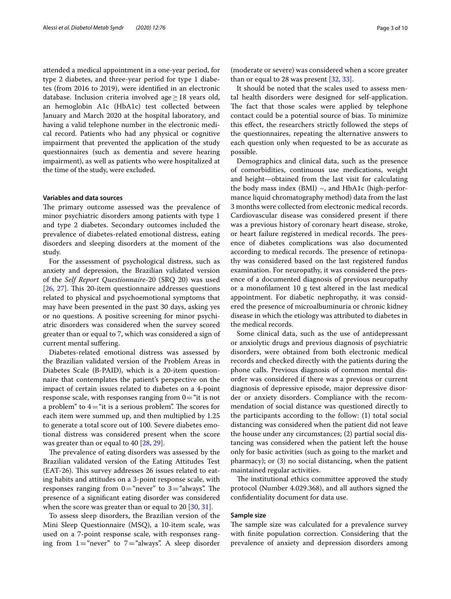attended a medical appointment in a one-year period, for type 2 diabetes, and three-year period for type 1 diabetes (from 2016 to 2019), were identifed in an electronic database. Inclusion criteria involved age≥18 years old, an hemoglobin A1c (HbA1c) test collected between January and March 2020 at the hospital laboratory, and having a valid telephone number in the electronic medical record. Patients who had any physical or cognitive impairment that prevented the application of the study questionnaires (such as dementia and severe hearing impairment), as well as patients who were hospitalized at the time of the study, were excluded.

#### **Variables and data sources**

The primary outcome assessed was the prevalence of minor psychiatric disorders among patients with type 1 and type 2 diabetes. Secondary outcomes included the prevalence of diabetes-related emotional distress, eating disorders and sleeping disorders at the moment of the study.

For the assessment of psychological distress, such as anxiety and depression, the Brazilian validated version of the *Self Report Questionnaire*-20 (SRQ 20) was used  $[26, 27]$  $[26, 27]$  $[26, 27]$  $[26, 27]$  $[26, 27]$ . This 20-item questionnaire addresses questions related to physical and psychoemotional symptoms that may have been presented in the past 30 days, asking yes or no questions. A positive screening for minor psychiatric disorders was considered when the survey scored greater than or equal to 7, which was considered a sign of current mental sufering.

Diabetes-related emotional distress was assessed by the Brazilian validated version of the Problem Areas in Diabetes Scale (B-PAID), which is a 20-item questionnaire that contemplates the patient's perspective on the impact of certain issues related to diabetes on a 4-point response scale, with responses ranging from  $0=$  "it is not a problem" to  $4=$ "it is a serious problem". The scores for each item were summed up, and then multiplied by 1.25 to generate a total score out of 100. Severe diabetes emotional distress was considered present when the score was greater than or equal to 40 [\[28,](#page-8-15) [29](#page-8-16)].

The prevalence of eating disorders was assessed by the Brazilian validated version of the Eating Attitudes Test (EAT-26). This survey addresses 26 issues related to eating habits and attitudes on a 3-point response scale, with responses ranging from  $0$  = "never" to  $3$  = "always". The presence of a signifcant eating disorder was considered when the score was greater than or equal to 20 [[30,](#page-8-17) [31\]](#page-8-18).

To assess sleep disorders, the Brazilian version of the Mini Sleep Questionnaire (MSQ), a 10-item scale, was used on a 7-point response scale, with responses ranging from  $1 =$ "never" to  $7 =$ "always". A sleep disorder

(moderate or severe) was considered when a score greater than or equal to 28 was present [[32](#page-8-19), [33\]](#page-8-20).

It should be noted that the scales used to assess mental health disorders were designed for self-application. The fact that those scales were applied by telephone contact could be a potential source of bias. To minimize this efect, the researchers strictly followed the steps of the questionnaires, repeating the alternative answers to each question only when requested to be as accurate as possible.

Demographics and clinical data, such as the presence of comorbidities, continuous use medications, weight and height—obtained from the last visit for calculating the body mass index (BMI) –, and HbA1c (high-performance liquid chromatography method) data from the last 3 months were collected from electronic medical records. Cardiovascular disease was considered present if there was a previous history of coronary heart disease, stroke, or heart failure registered in medical records. The presence of diabetes complications was also documented according to medical records. The presence of retinopathy was considered based on the last registered fundus examination. For neuropathy, it was considered the presence of a documented diagnosis of previous neuropathy or a monoflament 10 g test altered in the last medical appointment. For diabetic nephropathy, it was considered the presence of microalbuminuria or chronic kidney disease in which the etiology was attributed to diabetes in the medical records.

Some clinical data, such as the use of antidepressant or anxiolytic drugs and previous diagnosis of psychiatric disorders, were obtained from both electronic medical records and checked directly with the patients during the phone calls. Previous diagnosis of common mental disorder was considered if there was a previous or current diagnosis of depressive episode, major depressive disorder or anxiety disorders. Compliance with the recommendation of social distance was questioned directly to the participants according to the follow: (1) total social distancing was considered when the patient did not leave the house under any circumstances; (2) partial social distancing was considered when the patient left the house only for basic activities (such as going to the market and pharmacy); or (3) no social distancing, when the patient maintained regular activities.

The institutional ethics committee approved the study protocol (Number 4.029.368), and all authors signed the confdentiality document for data use.

#### **Sample size**

The sample size was calculated for a prevalence survey with fnite population correction. Considering that the prevalence of anxiety and depression disorders among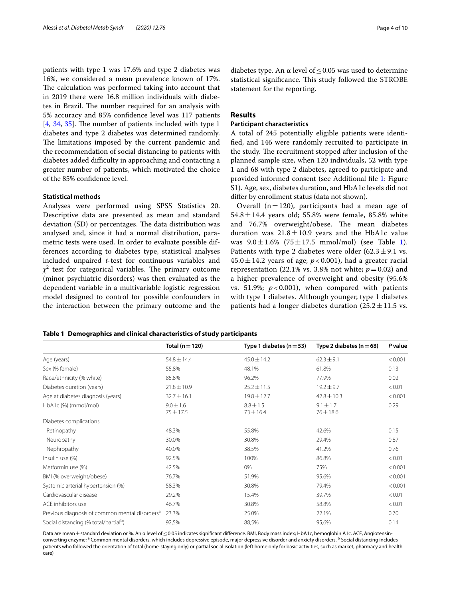patients with type 1 was 17.6% and type 2 diabetes was 16%, we considered a mean prevalence known of 17%. The calculation was performed taking into account that in 2019 there were 16.8 million individuals with diabetes in Brazil. The number required for an analysis with 5% accuracy and 85% confdence level was 117 patients  $[4, 34, 35]$  $[4, 34, 35]$  $[4, 34, 35]$  $[4, 34, 35]$  $[4, 34, 35]$  $[4, 34, 35]$  $[4, 34, 35]$ . The number of patients included with type 1 diabetes and type 2 diabetes was determined randomly. The limitations imposed by the current pandemic and the recommendation of social distancing to patients with diabetes added difficulty in approaching and contacting a greater number of patients, which motivated the choice of the 85% confdence level.

#### **Statistical methods**

Analyses were performed using SPSS Statistics 20. Descriptive data are presented as mean and standard deviation (SD) or percentages. The data distribution was analysed and, since it had a normal distribution, parametric tests were used. In order to evaluate possible differences according to diabetes type, statistical analyses included unpaired *t*-test for continuous variables and  $\chi^2$  test for categorical variables. The primary outcome (minor psychiatric disorders) was then evaluated as the dependent variable in a multivariable logistic regression model designed to control for possible confounders in the interaction between the primary outcome and the

diabetes type. An  $\alpha$  level of  $\leq$  0.05 was used to determine statistical significance. This study followed the STROBE statement for the reporting.

### **Results**

## **Participant characteristics**

A total of 245 potentially eligible patients were identifed, and 146 were randomly recruited to participate in the study. The recruitment stopped after inclusion of the planned sample size, when 120 individuals, 52 with type 1 and 68 with type 2 diabetes, agreed to participate and provided informed consent (see Additional fle [1](#page-7-7): Figure S1). Age, sex, diabetes duration, and HbA1c levels did not difer by enrollment status (data not shown).

Overall  $(n=120)$ , participants had a mean age of  $54.8 \pm 14.4$  years old; 55.8% were female, 85.8% white and 76.7% overweight/obese. The mean diabetes duration was  $21.8 \pm 10.9$  years and the HbA1c value was  $9.0 \pm 1.6\%$  (75 $\pm$ 17.5 mmol/mol) (see Table [1\)](#page-3-0). Patients with type 2 diabetes were older  $(62.3 \pm 9.1 \text{ vs.})$  $45.0 \pm 14.2$  years of age;  $p < 0.001$ ), had a greater racial representation (22.1% vs. 3.8% not white;  $p = 0.02$ ) and a higher prevalence of overweight and obesity (95.6% vs. 51.9%;  $p < 0.001$ ), when compared with patients with type 1 diabetes. Although younger, type 1 diabetes patients had a longer diabetes duration  $(25.2 \pm 11.5 \text{ vs.})$ 

<span id="page-3-0"></span>

| Table 1 Demographics and clinical characteristics of study participants |  |  |  |
|-------------------------------------------------------------------------|--|--|--|
|                                                                         |  |  |  |

|                                                            | Total ( $n = 120$ )            | Type 1 diabetes $(n=53)$       | Type 2 diabetes $(n=68)$       | P value |
|------------------------------------------------------------|--------------------------------|--------------------------------|--------------------------------|---------|
| Age (years)                                                | $54.8 \pm 14.4$                | $45.0 \pm 14.2$                | $62.3 \pm 9.1$                 | < 0.001 |
| Sex (% female)                                             | 55.8%                          | 48.1%                          | 61.8%                          | 0.13    |
| Race/ethnicity (% white)                                   | 85.8%                          | 96.2%                          | 77.9%                          | 0.02    |
| Diabetes duration (years)                                  | $21.8 \pm 10.9$                | $25.2 \pm 11.5$                | $19.2 \pm 9.7$                 | < 0.01  |
| Age at diabetes diagnosis (years)                          | $32.7 \pm 16.1$                | $19.8 \pm 12.7$                | $42.8 \pm 10.3$                | < 0.001 |
| HbA1c (%) (mmol/mol)                                       | $9.0 \pm 1.6$<br>$75 \pm 17.5$ | $8.8 \pm 1.5$<br>$73 \pm 16.4$ | $9.1 \pm 1.7$<br>$76 \pm 18.6$ | 0.29    |
| Diabetes complications                                     |                                |                                |                                |         |
| Retinopathy                                                | 48.3%                          | 55.8%                          | 42.6%                          | 0.15    |
| Neuropathy                                                 | 30.0%                          | 30.8%                          | 29.4%                          | 0.87    |
| Nephropathy                                                | 40.0%                          | 38.5%                          | 41.2%                          | 0.76    |
| Insulin use (%)                                            | 92.5%                          | 100%                           | 86.8%                          | < 0.01  |
| Metformin use (%)                                          | 42.5%                          | 0%                             | 75%                            | < 0.001 |
| BMI (% overweight/obese)                                   | 76.7%                          | 51.9%                          | 95.6%                          | < 0.001 |
| Systemic arterial hypertension (%)                         | 58.3%                          | 30.8%                          | 79.4%                          | < 0.001 |
| Cardiovascular disease                                     | 29.2%                          | 15.4%                          | 39.7%                          | < 0.01  |
| ACE inhibitors use                                         | 46.7%                          | 30.8%                          | 58.8%                          | < 0.01  |
| Previous diagnosis of common mental disorders <sup>a</sup> | 23.3%                          | 25.0%                          | 22.1%                          | 0.70    |
| Social distancing (% total/partialb)                       | 92,5%                          | 88,5%                          | 95,6%                          | 0.14    |

Data are mean±standard deviation or %. An α level of ≤0.05 indicates significant difference. BMI, Body mass index; HbA1c, hemoglobin A1c. ACE, Angiotensinconverting enzyme; <sup>a</sup> Common mental disorders, which includes depressive episode, major depressive disorder and anxiety disorders. <sup>b</sup> Social distancing includes patients who followed the orientation of total (home-staying only) or partial social isolation (left home only for basic activities, such as market, pharmacy and health care)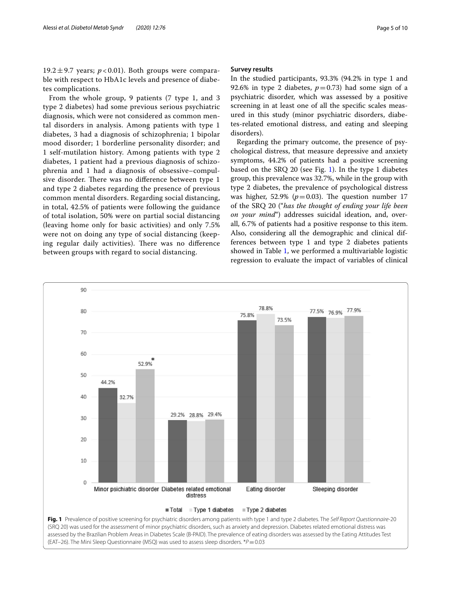19.2 $\pm$ 9.7 years;  $p$  < 0.01). Both groups were comparable with respect to HbA1c levels and presence of diabetes complications.

From the whole group, 9 patients (7 type 1, and 3 type 2 diabetes) had some previous serious psychiatric diagnosis, which were not considered as common mental disorders in analysis. Among patients with type 1 diabetes, 3 had a diagnosis of schizophrenia; 1 bipolar mood disorder; 1 borderline personality disorder; and 1 self-mutilation history. Among patients with type 2 diabetes, 1 patient had a previous diagnosis of schizophrenia and 1 had a diagnosis of obsessive–compulsive disorder. There was no difference between type 1 and type 2 diabetes regarding the presence of previous common mental disorders. Regarding social distancing, in total, 42.5% of patients were following the guidance of total isolation, 50% were on partial social distancing (leaving home only for basic activities) and only 7.5% were not on doing any type of social distancing (keeping regular daily activities). There was no difference between groups with regard to social distancing.

#### **Survey results**

In the studied participants, 93.3% (94.2% in type 1 and 92.6% in type 2 diabetes,  $p=0.73$ ) had some sign of a psychiatric disorder, which was assessed by a positive screening in at least one of all the specifc scales measured in this study (minor psychiatric disorders, diabetes-related emotional distress, and eating and sleeping disorders).

Regarding the primary outcome, the presence of psychological distress, that measure depressive and anxiety symptoms, 44.2% of patients had a positive screening based on the SRQ 20 (see Fig. [1\)](#page-4-0). In the type 1 diabetes group, this prevalence was 32.7%, while in the group with type 2 diabetes, the prevalence of psychological distress was higher, 52.9% ( $p=0.03$ ). The question number 17 of the SRQ 20 ("*has the thought of ending your life been on your mind*") addresses suicidal ideation, and, overall, 6.7% of patients had a positive response to this item. Also, considering all the demographic and clinical differences between type 1 and type 2 diabetes patients showed in Table [1](#page-3-0), we performed a multivariable logistic regression to evaluate the impact of variables of clinical

<span id="page-4-0"></span>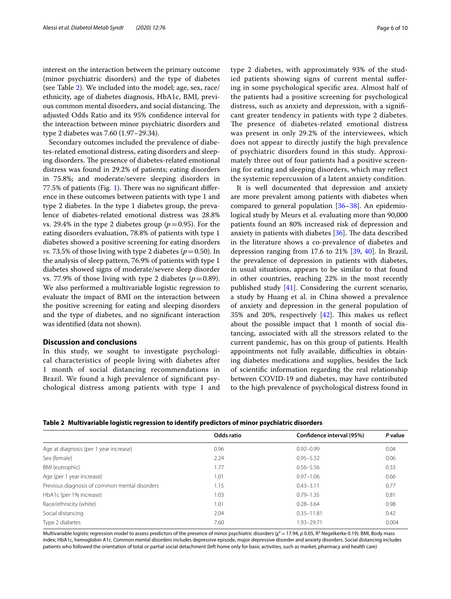interest on the interaction between the primary outcome (minor psychiatric disorders) and the type of diabetes (see Table [2](#page-5-0)). We included into the model; age, sex, race/ ethnicity, age of diabetes diagnosis, HbA1c, BMI, previous common mental disorders, and social distancing. The adjusted Odds Ratio and its 95% confdence interval for the interaction between minor psychiatric disorders and type 2 diabetes was 7.60 (1.97–29.34).

Secondary outcomes included the prevalence of diabetes-related emotional distress, eating disorders and sleeping disorders. The presence of diabetes-related emotional distress was found in 29.2% of patients; eating disorders in 75.8%; and moderate/severe sleeping disorders in  $77.5\%$  of patients (Fig. [1\)](#page-4-0). There was no significant difference in these outcomes between patients with type 1 and type 2 diabetes. In the type 1 diabetes group, the prevalence of diabetes-related emotional distress was 28.8% vs. 29.4% in the type 2 diabetes group  $(p=0.95)$ . For the eating disorders evaluation, 78.8% of patients with type 1 diabetes showed a positive screening for eating disorders *vs*. 73.5% of those living with type 2 diabetes ( $p=0.50$ ). In the analysis of sleep pattern, 76.9% of patients with type 1 diabetes showed signs of moderate/severe sleep disorder vs. 77.9% of those living with type 2 diabetes  $(p=0.89)$ . We also performed a multivariable logistic regression to evaluate the impact of BMI on the interaction between the positive screening for eating and sleeping disorders and the type of diabetes, and no signifcant interaction was identifed (data not shown).

#### **Discussion and conclusions**

In this study, we sought to investigate psychological characteristics of people living with diabetes after 1 month of social distancing recommendations in Brazil. We found a high prevalence of signifcant psychological distress among patients with type 1 and type 2 diabetes, with approximately 93% of the studied patients showing signs of current mental sufering in some psychological specifc area. Almost half of the patients had a positive screening for psychological distress, such as anxiety and depression, with a signifcant greater tendency in patients with type 2 diabetes. The presence of diabetes-related emotional distress was present in only 29.2% of the interviewees, which does not appear to directly justify the high prevalence of psychiatric disorders found in this study. Approximately three out of four patients had a positive screening for eating and sleeping disorders, which may refect the systemic repercussion of a latent anxiety condition.

It is well documented that depression and anxiety are more prevalent among patients with diabetes when compared to general population [\[36–](#page-8-23)[38\]](#page-8-24). An epidemiological study by Meurs et al. evaluating more than 90,000 patients found an 80% increased risk of depression and anxiety in patients with diabetes  $[36]$  $[36]$ . The data described in the literature shows a co-prevalence of diabetes and depression ranging from 17.6 to 21% [\[39,](#page-8-25) [40](#page-8-26)]. In Brazil, the prevalence of depression in patients with diabetes, in usual situations, appears to be similar to that found in other countries, reaching 22% in the most recently published study [[41\]](#page-8-27). Considering the current scenario, a study by Huang et al. in China showed a prevalence of anxiety and depression in the general population of 35% and 20%, respectively  $[42]$ . This makes us reflect about the possible impact that 1 month of social distancing, associated with all the stressors related to the current pandemic, has on this group of patients. Health appointments not fully available, difficulties in obtaining diabetes medications and supplies, besides the lack of scientifc information regarding the real relationship between COVID-19 and diabetes, may have contributed to the high prevalence of psychological distress found in

<span id="page-5-0"></span>

|  |  |  | Table 2 Multivariable logistic regression to identify predictors of minor psychiatric disorders |
|--|--|--|-------------------------------------------------------------------------------------------------|
|  |  |  |                                                                                                 |

|                                               | Odds ratio | Confidence interval (95%) | P value |
|-----------------------------------------------|------------|---------------------------|---------|
| Age at diagnosis (per 1 year increase)        | 0.96       | $0.92 - 0.99$             | 0.04    |
| Sex (female)                                  | 2.24       | $0.95 - 5.32$             | 0.06    |
| BMI (eutrophic)                               | 1.77       | $0.56 - 5.56$             | 0.33    |
| Age (per 1 year increase)                     | 1.01       | $0.97 - 1.06$             | 0.66    |
| Previous diagnosis of common mental disorders | 1.15       | $0.43 - 3.11$             | 0.77    |
| HbA1c (per 1% increase)                       | 1.03       | $0.79 - 1.35$             | 0.81    |
| Race/ethnicity (white)                        | 1.01       | $0.28 - 3.64$             | 0.98    |
| Social distancing                             | 2.04       | $0.35 - 11.81$            | 0.42    |
| Type 2 diabetes                               | 7.60       | 1.93-29.71                | 0.004   |

Multivariable logistic regression model to assess predictors of the presence of minor psychiatric disorders (χ<sup>2</sup> = 17.94, *p* 0.05, R<sup>2</sup> Negelkerke 0.19). BMI, Body mass index; HbA1c, hemoglobin A1c. Common mental disorders includes depressive episode, major depressive disorder and anxiety disorders. Social distancing includes patients who followed the orientation of total or partial social detachment (left home only for basic activities, such as market, pharmacy and health care)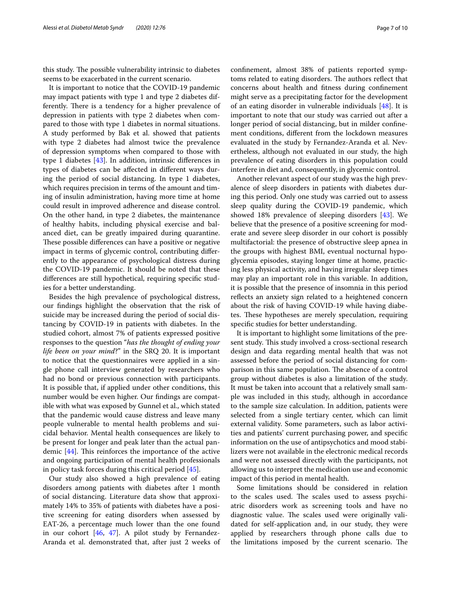this study. The possible vulnerability intrinsic to diabetes seems to be exacerbated in the current scenario.

It is important to notice that the COVID-19 pandemic may impact patients with type 1 and type 2 diabetes differently. There is a tendency for a higher prevalence of depression in patients with type 2 diabetes when compared to those with type 1 diabetes in normal situations. A study performed by Bak et al. showed that patients with type 2 diabetes had almost twice the prevalence of depression symptoms when compared to those with type 1 diabetes [[43](#page-8-29)]. In addition, intrinsic diferences in types of diabetes can be afected in diferent ways during the period of social distancing. In type 1 diabetes, which requires precision in terms of the amount and timing of insulin administration, having more time at home could result in improved adherence and disease control. On the other hand, in type 2 diabetes, the maintenance of healthy habits, including physical exercise and balanced diet, can be greatly impaired during quarantine. These possible differences can have a positive or negative impact in terms of glycemic control, contributing diferently to the appearance of psychological distress during the COVID-19 pandemic. It should be noted that these diferences are still hypothetical, requiring specifc studies for a better understanding.

Besides the high prevalence of psychological distress, our fndings highlight the observation that the risk of suicide may be increased during the period of social distancing by COVID-19 in patients with diabetes. In the studied cohort, almost 7% of patients expressed positive responses to the question "*has the thought of ending your life been on your mind*?" in the SRQ 20. It is important to notice that the questionnaires were applied in a single phone call interview generated by researchers who had no bond or previous connection with participants. It is possible that, if applied under other conditions, this number would be even higher. Our fndings are compatible with what was exposed by Gunnel et al., which stated that the pandemic would cause distress and leave many people vulnerable to mental health problems and suicidal behavior. Mental health consequences are likely to be present for longer and peak later than the actual pandemic  $[44]$  $[44]$ . This reinforces the importance of the active and ongoing participation of mental health professionals in policy task forces during this critical period [[45\]](#page-8-31).

Our study also showed a high prevalence of eating disorders among patients with diabetes after 1 month of social distancing. Literature data show that approximately 14% to 35% of patients with diabetes have a positive screening for eating disorders when assessed by EAT-26, a percentage much lower than the one found in our cohort [\[46,](#page-8-32) [47\]](#page-8-33). A pilot study by Fernandez-Aranda et al. demonstrated that, after just 2 weeks of confnement, almost 38% of patients reported symptoms related to eating disorders. The authors reflect that concerns about health and ftness during confnement might serve as a precipitating factor for the development of an eating disorder in vulnerable individuals [[48\]](#page-8-34). It is important to note that our study was carried out after a longer period of social distancing, but in milder confnement conditions, diferent from the lockdown measures evaluated in the study by Fernandez-Aranda et al. Nevertheless, although not evaluated in our study, the high prevalence of eating disorders in this population could interfere in diet and, consequently, in glycemic control.

Another relevant aspect of our study was the high prevalence of sleep disorders in patients with diabetes during this period. Only one study was carried out to assess sleep quality during the COVID-19 pandemic, which showed 18% prevalence of sleeping disorders [\[43](#page-8-29)]. We believe that the presence of a positive screening for moderate and severe sleep disorder in our cohort is possibly multifactorial: the presence of obstructive sleep apnea in the groups with highest BMI, eventual nocturnal hypoglycemia episodes, staying longer time at home, practicing less physical activity, and having irregular sleep times may play an important role in this variable. In addition, it is possible that the presence of insomnia in this period reflects an anxiety sign related to a heightened concern about the risk of having COVID-19 while having diabetes. These hypotheses are merely speculation, requiring specifc studies for better understanding.

It is important to highlight some limitations of the present study. This study involved a cross-sectional research design and data regarding mental health that was not assessed before the period of social distancing for comparison in this same population. The absence of a control group without diabetes is also a limitation of the study. It must be taken into account that a relatively small sample was included in this study, although in accordance to the sample size calculation. In addition, patients were selected from a single tertiary center, which can limit external validity. Some parameters, such as labor activities and patients' current purchasing power, and specifc information on the use of antipsychotics and mood stabilizers were not available in the electronic medical records and were not assessed directly with the participants, not allowing us to interpret the medication use and economic impact of this period in mental health.

Some limitations should be considered in relation to the scales used. The scales used to assess psychiatric disorders work as screening tools and have no diagnostic value. The scales used were originally validated for self-application and, in our study, they were applied by researchers through phone calls due to the limitations imposed by the current scenario. The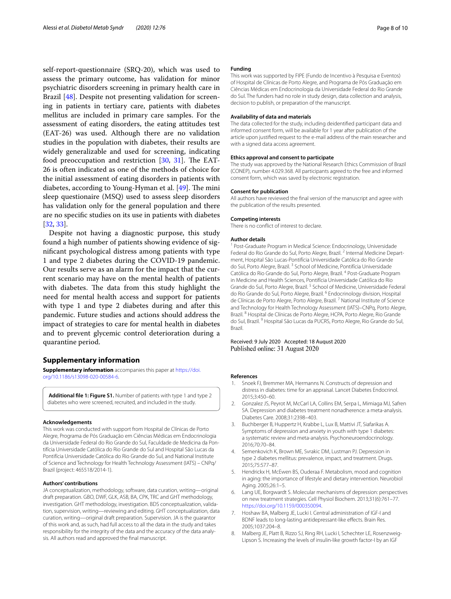self-report-questionnaire (SRQ-20), which was used to assess the primary outcome, has validation for minor psychiatric disorders screening in primary health care in Brazil [[48\]](#page-8-34). Despite not presenting validation for screening in patients in tertiary care, patients with diabetes mellitus are included in primary care samples. For the assessment of eating disorders, the eating attitudes test (EAT-26) was used. Although there are no validation studies in the population with diabetes, their results are widely generalizable and used for screening, indicating food preoccupation and restriction  $[30, 31]$  $[30, 31]$  $[30, 31]$  $[30, 31]$ . The EAT-26 is often indicated as one of the methods of choice for the initial assessment of eating disorders in patients with diabetes, according to Young-Hyman et al.  $[49]$  $[49]$ . The mini sleep questionaire (MSQ) used to assess sleep disorders has validation only for the general population and there are no specifc studies on its use in patients with diabetes [[32,](#page-8-19) [33](#page-8-20)].

Despite not having a diagnostic purpose, this study found a high number of patients showing evidence of signifcant psychological distress among patients with type 1 and type 2 diabetes during the COVID-19 pandemic. Our results serve as an alarm for the impact that the current scenario may have on the mental health of patients with diabetes. The data from this study highlight the need for mental health access and support for patients with type 1 and type 2 diabetes during and after this pandemic. Future studies and actions should address the impact of strategies to care for mental health in diabetes and to prevent glycemic control deterioration during a quarantine period.

#### **Supplementary information**

**Supplementary information** accompanies this paper at [https://doi.](https://doi.org/10.1186/s13098-020-00584-6) [org/10.1186/s13098-020-00584-6](https://doi.org/10.1186/s13098-020-00584-6).

<span id="page-7-7"></span>**Additional fle 1: Figure S1.** Number of patients with type 1 and type 2 diabetes who were screened, recruited, and included in the study.

#### **Acknowledgements**

This work was conducted with support from Hospital de Clínicas de Porto Alegre, Programa de Pós Graduação em Ciências Médicas em Endocrinologia da Universidade Federal do Rio Grande do Sul, Faculdade de Medicina da Pontifícia Universidade Católica do Rio Grande do Sul and Hospital São Lucas da Pontifícia Universidade Católica do Rio Grande do Sul, and National Institute of Science and Technology for Health Technology Assessment (IATS) – CNPq/ Brazil (project: 465518/2014-1).

#### **Authors' contributions**

JA conceptualization, methodology, software, data curation, writing—original draft preparation. GBO, DWF, GLK, ASB, BA, CPK, TRC and GHT methodology, investigation. GHT methodology, investigation. BDS conceptualization, validation, supervision, writing—reviewing and editing. GHT conceptualization, data curation, writing—original draft preparation. Supervision. JA is the guarantor of this work and, as such, had full access to all the data in the study and takes responsibility for the integrity of the data and the accuracy of the data analysis. All authors read and approved the fnal manuscript.

#### **Funding**

This work was supported by FIPE (Fundo de Incentivo à Pesquisa e Eventos) of Hospital de Clínicas de Porto Alegre, and Programa de Pós Graduação em Ciências Médicas em Endocrinologia da Universidade Federal do Rio Grande do Sul. The funders had no role in study design, data collection and analysis, decision to publish, or preparation of the manuscript.

#### **Availability of data and materials**

The data collected for the study, including deidentifed participant data and informed consent form, will be available for 1 year after publication of the article upon justifed request to the e-mail address of the main researcher and with a signed data access agreement.

#### **Ethics approval and consent to participate**

The study was approved by the National Research Ethics Commission of Brazil (CONEP), number 4.029.368. All participants agreed to the free and informed consent form, which was saved by electronic registration.

#### **Consent for publication**

All authors have reviewed the fnal version of the manuscript and agree with the publication of the results presented.

#### **Competing interests**

There is no confict of interest to declare.

#### **Author details**

<sup>1</sup> Post-Graduate Program in Medical Science: Endocrinology, Universidade Federal do Rio Grande do Sul, Porto Alegre, Brazil.<sup>2</sup> Internal Medicine Department, Hospital São Lucas-Pontifícia Universidade Católica do Rio Grande do Sul, Porto Alegre, Brazil. 3 School of Medicine, Pontifícia Universidade Católica do Rio Grande do Sul, Porto Alegre, Brazil. 4 Post-Graduate Program in Medicine and Health Sciences, Pontifícia Universidade Católica do Rio Grande do Sul, Porto Alegre, Brazil. 5 School of Medicine, Universidade Federal do Rio Grande do Sul, Porto Alegre, Brazil. 6 Endocrinology division, Hospital de Clínicas de Porto Alegre, Porto Alegre, Brazil.<sup>7</sup> National Institute of Science and Technology for Health Technology Assessment (IATS)–CNPq, Porto Alegre, Brazil. 8 Hospital de Clínicas de Porto Alegre, HCPA, Porto Alegre, Rio Grande do Sul, Brazil. <sup>9</sup> Hospital São Lucas da PUCRS, Porto Alegre, Rio Grande do Sul, Brazil.

Received: 9 July 2020 Accepted: 18 August 2020 Published online: 31 August 2020

#### **References**

- <span id="page-7-0"></span>1. Snoek FJ, Bremmer MA, Hermanns N. Constructs of depression and distress in diabetes: time for an appraisal. Lancet Diabetes Endocrinol. 2015;3:450–60.
- <span id="page-7-1"></span>2. Gonzalez JS, Peyrot M, McCarl LA, Collins EM, Serpa L, Mimiaga MJ, Safren SA. Depression and diabetes treatment nonadherence: a meta-analysis. Diabetes Care. 2008;31:2398–403.
- <span id="page-7-2"></span>3. Buchberger B, Huppertz H, Krabbe L, Lux B, Mattivi JT, Siafarikas A. Symptoms of depression and anxiety in youth with type 1 diabetes: a systematic review and meta-analysis. Psychoneuroendocrinology. 2016;70:70–84.
- <span id="page-7-3"></span>4. Semenkovich K, Brown ME, Svrakic DM, Lustman PJ. Depression in type 2 diabetes mellitus: prevalence, impact, and treatment. Drugs. 2015;75:577–87.
- <span id="page-7-4"></span>5. Hendrickx H, McEwen BS, Ouderaa F. Metabolism, mood and cognition in aging: the importance of lifestyle and dietary intervention. Neurobiol Aging. 2005;26:1–5.
- <span id="page-7-5"></span>6. Lang UE, Borgwardt S. Molecular mechanisms of depression: perspectives on new treatment strategies. Cell Physiol Biochem. 2013;31(6):761–77. [https://doi.org/10.1159/000350094.](https://doi.org/10.1159/000350094)
- 7. Hoshaw BA, Malberg JE, Lucki I. Central administration of IGF-I and BDNF leads to long-lasting antidepressant-like efects. Brain Res. 2005;1037:204–8.
- <span id="page-7-6"></span>8. Malberg JE, Platt B, Rizzo SJ, Ring RH, Lucki I, Schechter LE, Rosenzweig-Lipson S. Increasing the levels of insulin-like growth factor-I by an IGF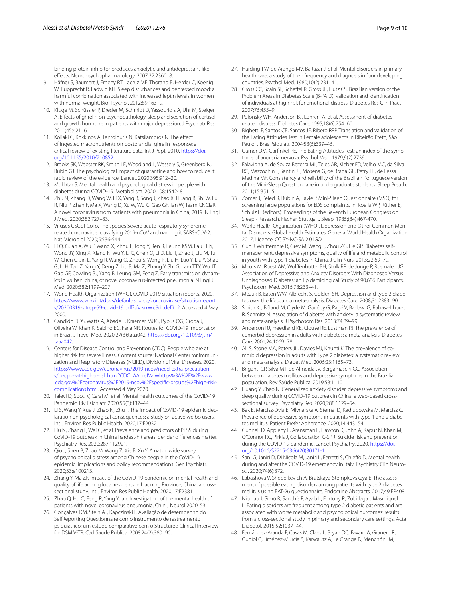binding protein inhibitor produces anxiolytic and antidepressant-like efects. Neuropsychopharmacology. 2007;32:2360–8.

- <span id="page-8-0"></span>9. Häfner S, Baumert J, Emeny RT, Lacruz ME, Thorand B, Herder C, Koenig W, Rupprecht R, Ladwig KH. Sleep disturbances and depressed mood: a harmful combination associated with increased leptin levels in women with normal weight. Biol Psychol. 2012;89:163–9.
- <span id="page-8-1"></span>10. Kluge M, Schüssler P, Dresler M, Schmidt D, Yassouridis A, Uhr M, Steiger A. Efects of ghrelin on psychopathology, sleep and secretion of cortisol and growth hormone in patients with major depression. J Psychiatr Res. 2011;45:421–6.
- <span id="page-8-2"></span>11. Koliaki C, Kokkinos A, Tentolouris N, Katsilambros N. The efect of ingested macronutrients on postprandial ghrelin response: a critical review of existing literature data. Int J Pept. 2010. [https://doi.](https://doi.org/10.1155/2010/710852) [org/10.1155/2010/710852.](https://doi.org/10.1155/2010/710852)
- <span id="page-8-3"></span>12. Brooks SK, Webster RK, Smith LE, Woodland L, Wessely S, Greenberg N, Rubin GJ. The psychological impact of quarantine and how to reduce it: rapid review of the evidence. Lancet. 2020;395:912–20.
- <span id="page-8-4"></span>13. Mukhtar S. Mental health and psychological distress in people with diabetes during COVID-19. Metabolism. 2020;108:154248.
- <span id="page-8-5"></span>14. Zhu N, Zhang D, Wang W, Li X, Yang B, Song J, Zhao X, Huang B, Shi W, Lu R, Niu P, Zhan F, Ma X, Wang D, Xu W, Wu G, Gao GF, Tan W, Team CNCIaR. A novel coronavirus from patients with pneumonia in China, 2019. N Engl J Med. 2020;382:727–33.
- 15. Viruses CSGotICoTo. The species Severe acute respiratory syndromerelated coronavirus: classifying 2019-nCoV and naming it SARS-CoV-2. Nat Microbiol 2020;5:536-544.
- <span id="page-8-6"></span>16. Li Q, Guan X, Wu P, Wang X, Zhou L, Tong Y, Ren R, Leung KSM, Lau EHY, Wong JY, Xing X, Xiang N, Wu Y, Li C, Chen Q, Li D, Liu T, Zhao J, Liu M, Tu W, Chen C, Jin L, Yang R, Wang Q, Zhou S, Wang R, Liu H, Luo Y, Liu Y, Shao G, Li H, Tao Z, Yang Y, Deng Z, Liu B, Ma Z, Zhang Y, Shi G, Lam TTY, Wu JT, Gao GF, Cowling BJ, Yang B, Leung GM, Feng Z. Early transmission dynamics in wuhan, china, of novel coronavirus-infected pneumonia. N Engl J Med. 2020;382:1199–207.
- <span id="page-8-7"></span>17. World Health Organization (WHO). COVID-2019 situation reports. 2020. [https://www.who.int/docs/default-source/coronaviruse/situationreport](https://www.who.int/docs/default-source/coronaviruse/situationreports/20200319-sitrep-59-covid-19.pdf%3fsfvrsn%e2%80%89%3d%e2%80%89c3dcdef9_2) [s/20200319-sitrep-59-covid-19.pdf?sfvrsn](https://www.who.int/docs/default-source/coronaviruse/situationreports/20200319-sitrep-59-covid-19.pdf%3fsfvrsn%e2%80%89%3d%e2%80%89c3dcdef9_2)=c3dcdef9\_2. Accessed 4 May 2000.
- <span id="page-8-8"></span>18. Candido DDS, Watts A, Abade L, Kraemer MUG, Pybus OG, Croda J, Oliveira W, Khan K, Sabino EC, Faria NR. Routes for COVID-19 importation in Brazil. J Travel Med. 2020;27(3):taaa042. [https://doi.org/10.1093/jtm/](https://doi.org/10.1093/jtm/taaa042) [taaa042](https://doi.org/10.1093/jtm/taaa042).
- <span id="page-8-9"></span>19. Centers for Disease Control and Prevention (CDC). People who are at higher risk for severe illness. Content source: National Center for Immunization and Respiratory Diseases (NCIRD), Division of Viral Diseases. 2020. [https://www.cdc.gov/coronavirus/2019-ncov/need-extra-precaution](https://www.cdc.gov/coronavirus/2019-ncov/need-extra-precautions/people-at-higher-risk.html%3fCDC_AA_refVal%3dhttps%253A%252F%252Fwww.cdc.gov%252Fcoronavirus%252F2019-ncov%252Fspecific-groups%252Fhigh-risk-complications.html) [s/people-at-higher-risk.html?CDC\\_AA\\_refVal](https://www.cdc.gov/coronavirus/2019-ncov/need-extra-precautions/people-at-higher-risk.html%3fCDC_AA_refVal%3dhttps%253A%252F%252Fwww.cdc.gov%252Fcoronavirus%252F2019-ncov%252Fspecific-groups%252Fhigh-risk-complications.html)=https%3A%2F%2Fwww [.cdc.gov%2Fcoronavirus%2F2019-ncov%2Fspecifc-groups%2Fhigh-risk](https://www.cdc.gov/coronavirus/2019-ncov/need-extra-precautions/people-at-higher-risk.html%3fCDC_AA_refVal%3dhttps%253A%252F%252Fwww.cdc.gov%252Fcoronavirus%252F2019-ncov%252Fspecific-groups%252Fhigh-risk-complications.html)[complications.html](https://www.cdc.gov/coronavirus/2019-ncov/need-extra-precautions/people-at-higher-risk.html%3fCDC_AA_refVal%3dhttps%253A%252F%252Fwww.cdc.gov%252Fcoronavirus%252F2019-ncov%252Fspecific-groups%252Fhigh-risk-complications.html). Accessed 4 May 2020.
- <span id="page-8-10"></span>20. Talevi D, Socci V, Carai M, et al. Mental health outcomes of the CoViD-19 Pandemic. Riv Psichiatr. 2020;55(3):137–44.
- 21. Li S, Wang Y, Xue J, Zhao N, Zhu T. The impact of CoViD-19 epidemic declaration on psychological consequences: a study on active weibo users. Int J Environ Res Public Health. 2020;17:E2032.
- 22. Liu N, Zhang F, Wei C, et al. Prevalence and predictors of PTSS during CoViD-19 outbreak in China hardest-hit areas: gender diferences matter. Psychiatry Res. 2020;287:112921.
- 23. Qiu J, Shen B, Zhao M, Wang Z, Xie B, Xu Y. A nationwide survey of psychological distress among Chinese people in the CoViD-19 epidemic: implications and policy recommendations. Gen Psychiatr. 2020;33:e100213.
- <span id="page-8-11"></span>24. Zhang Y, Ma ZF. Impact of the CoViD-19 pandemic on mental health and quality of life among local residents in Liaoning Province, China: a crosssectional study. Int J Environ Res Public Health. 2020;17:E2381.
- <span id="page-8-12"></span>25. Zhao Q, Hu C, Feng R, Yang Yuan. Investigation of the mental health of patients with novel coronavirus pneumonia. Chin J Neurol 2020; 53.
- <span id="page-8-13"></span>26. Gonçalves DM, Stein AT, Kapczinski F. Avaliação de desempenho do SelfReporting Questionnaire como instrumento de rastreamento psiquiátrico: um estudo comparativo com o Structured Clinical Interview for DSMIV-TR. Cad Saude Publica. 2008;24(2):380–90.
- <span id="page-8-14"></span>27. Harding TW, de Arango MV, Baltazar J, et al. Mental disorders in primary health care: a study of their frequency and diagnosis in four developing countries. Psychol Med. 1980;10(2):231–41.
- <span id="page-8-15"></span>28. Gross CC, Scain SF, Scheffel R, Gross JL, Hutz CS. Brazilian version of the Problem Areas in Diabetes Scale (B-PAID): validation and identifcation of individuals at high risk for emotional distress. Diabetes Res Clin Pract. 2007;76:455–9.
- <span id="page-8-16"></span>29. Polonsky WH, Anderson BJ, Lohrer PA, et al. Assessment of diabetesrelated distress. Diabetes Care. 1995;18(6):754–60.
- <span id="page-8-17"></span>30. Bighetti F, Santos CB, Santos JE, Ribero RPP. Translation and validation of the Eating Attitudes Test in Female adolescents in Ribeirão Preto, São Paulo. J Bras Psiquiatr. 2004;53(6):339–46.
- <span id="page-8-18"></span>31. Garner DM, Garfnkel PE. The Eating Attitudes Test: an index of the symptoms of anorexia nervosa. Psychol Med. 1979;9(2):2739.
- <span id="page-8-19"></span>32. Falavigna A, de Souza Bezerra ML, Teles AR, Kleber FD, Velho MC, da Silva RC, Mazzochin T, Santin JT, Mosena G, de Braga GL, Petry FL, de Lessa Medina MF. Consistency and reliability of the Brazilian Portuguese version of the Mini-Sleep Questionnaire in undergraduate students. Sleep Breath. 2011;15:351–5.
- <span id="page-8-20"></span>33. Zomer J, Peled R, Rubin A, Lavie P. Mini-Sleep Questionnaire (MSQ) for screening large populations for EDS complaints. In: Koella WP, Rüther E, Schulz H (editors): Proceedings of the Seventh European Congress on Sleep - Research. Fischer, Stuttgart. Sleep. 1985;(84):467-470.
- <span id="page-8-21"></span>34. World Health Organization (WHO). Depression and Other Common Mental Disorders: Global Health Estimates. Geneva: World Health Organization 2017. Licence: CC BY-NC-SA 2.0 IGO.
- <span id="page-8-22"></span>35. Guo J, Whittemore R, Grey M, Wang J, Zhou ZG, He GP. Diabetes selfmanagement, depressive symptoms, quality of life and metabolic control in youth with type 1 diabetes in China. J Clin Nurs. 2013;22:69–79.
- <span id="page-8-23"></span>36. Meurs M, Roest AM, Wolfenbuttel BH, Stolk RP, de Jonge P, Rosmalen JG. Association of Depressive and Anxiety Disorders With Diagnosed Versus Undiagnosed Diabetes: an Epidemiological Study of 90,686 Participants. Psychosom Med. 2016;78:233–41.
- 37. Mezuk B, Eaton WW, Albrecht S, Golden SH. Depression and type 2 diabetes over the lifespan: a meta-analysis. Diabetes Care. 2008;31:2383–90.
- <span id="page-8-24"></span>38. Smith KJ, Béland M, Clyde M, Gariépy G, Pagé V, Badawi G, Rabasa-Lhoret R, Schmitz N. Association of diabetes with anxiety: a systematic review and meta-analysis. J Psychosom Res. 2013;74:89–99.
- <span id="page-8-25"></span>39. Anderson RJ, Freedland KE, Clouse RE, Lustman PJ. The prevalence of comorbid depression in adults with diabetes: a meta-analysis. Diabetes Care. 2001;24:1069–78.
- <span id="page-8-26"></span>40. Ali S, Stone MA, Peters JL, Davies MJ, Khunti K. The prevalence of comorbid depression in adults with Type 2 diabetes: a systematic review and meta-analysis. Diabet Med. 2006;23:1165–73.
- <span id="page-8-27"></span>41. Briganti CP, Silva MT, de Almeida JV, Bergamaschi CC. Association between diabetes mellitus and depressive symptoms in the Brazilian population. Rev Saúde Pública. 2019;53:1–10.
- <span id="page-8-28"></span>42. Huang Y, Zhao N. Generalized anxiety disorder, depressive symptoms and sleep quality during COVID-19 outbreak in China: a web-based crosssectional survey. Psychiatry Res. 2020;288:1129–54.
- <span id="page-8-29"></span>43. Bak E, Marcisz-Dyla E, Mlynarska A, Sternal D, Kadlubowska M, Marcisz C. Prevalence of depressive symptoms in patients with type 1 and 2 diabetes mellitus. Patient Prefer Adherence. 2020;14:443–54.
- <span id="page-8-30"></span>44. Gunnell D, Appleby L, Arensman E, Hawton K, John A, Kapur N, Khan M, O'Connor RC, Pirkis J, Collaboration C-SPR. Suicide risk and prevention during the COVID-19 pandemic. Lancet Psychiatry. 2020. [https://doi.](https://doi.org/10.1016/S2215-0366(20)30171-1) [org/10.1016/S2215-0366\(20\)30171-1.](https://doi.org/10.1016/S2215-0366(20)30171-1)
- <span id="page-8-31"></span>45. Sani G, Janiri D, Di Nicola M, Janiri L, Ferretti S, Chieffo D. Mental health during and after the COVID-19 emergency in Italy. Psychiatry Clin Neurosci. 2020;74(6):372.
- <span id="page-8-32"></span>46. Labashova V, Shepelkevich A, Brutskaya-Stempkovskaya E. The assessment of possible eating disorders among patients with type 2 diabetes mellitus using EAT-26 questionnaire. Endocrine Abstracts. 2017;49:EP408.
- <span id="page-8-33"></span>47. Nicolau J, Simó R, Sanchís P, Ayala L, Fortuny R, Zubillaga I, Masmiquel L. Eating disorders are frequent among type 2 diabetic patients and are associated with worse metabolic and psychological outcomes: results from a cross-sectional study in primary and secondary care settings. Acta Diabetol. 2015;52:1037–44.
- <span id="page-8-34"></span>48. Fernández-Aranda F, Casas M, Claes L, Bryan DC, Favaro A, Granero R, Gudiol C, Jiménez-Murcia S, Karwautz A, Le Grange D, Menchón JM,